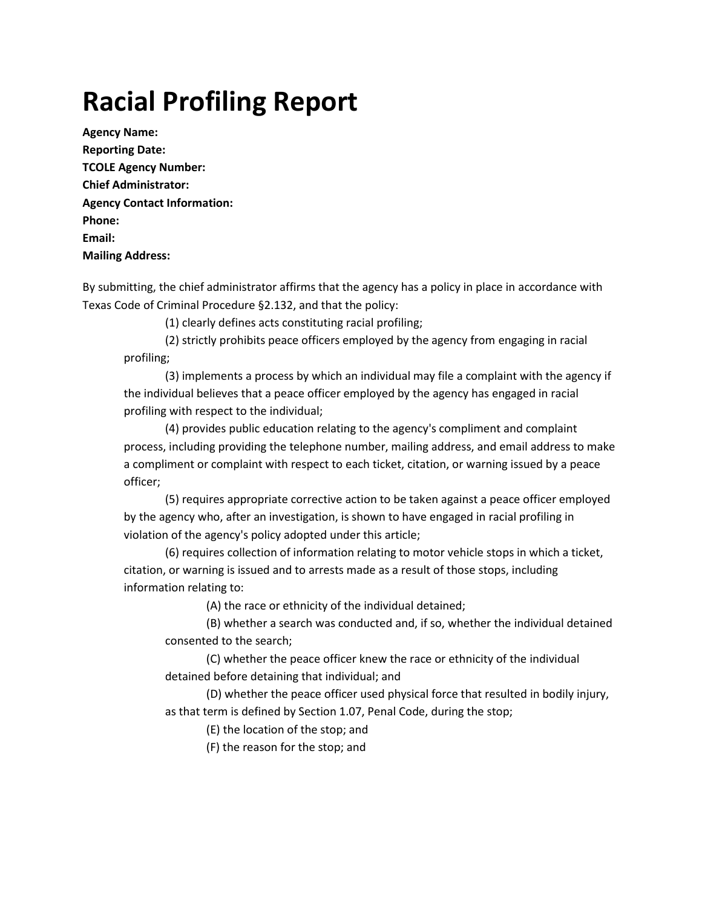# **Racial Profiling Report**

**Agency Name: Reporting Date: TCOLE Agency Number: Chief Administrator: Agency Contact Information: Phone: Email: Mailing Address:**

By submitting, the chief administrator affirms that the agency has a policy in place in accordance with Texas Code of Criminal Procedure §2.132, and that the policy:

(1) clearly defines acts constituting racial profiling;

(2) strictly prohibits peace officers employed by the agency from engaging in racial profiling;

(3) implements a process by which an individual may file a complaint with the agency if the individual believes that a peace officer employed by the agency has engaged in racial profiling with respect to the individual;

(4) provides public education relating to the agency's compliment and complaint process, including providing the telephone number, mailing address, and email address to make a compliment or complaint with respect to each ticket, citation, or warning issued by a peace officer;

(5) requires appropriate corrective action to be taken against a peace officer employed by the agency who, after an investigation, is shown to have engaged in racial profiling in violation of the agency's policy adopted under this article;

(6) requires collection of information relating to motor vehicle stops in which a ticket, citation, or warning is issued and to arrests made as a result of those stops, including information relating to:

(A) the race or ethnicity of the individual detained;

(B) whether a search was conducted and, if so, whether the individual detained consented to the search;

(C) whether the peace officer knew the race or ethnicity of the individual detained before detaining that individual; and

(D) whether the peace officer used physical force that resulted in bodily injury, as that term is defined by Section 1.07, Penal Code, during the stop;

(E) the location of the stop; and

(F) the reason for the stop; and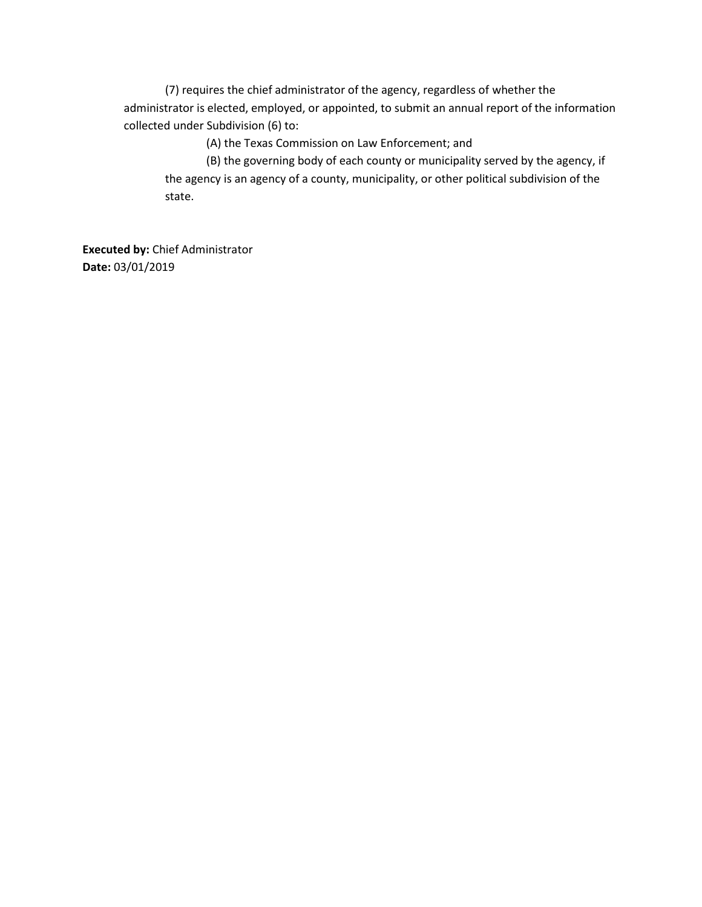(7) requires the chief administrator of the agency, regardless of whether the administrator is elected, employed, or appointed, to submit an annual report of the information collected under Subdivision (6) to:

(A) the Texas Commission on Law Enforcement; and

(B) the governing body of each county or municipality served by the agency, if the agency is an agency of a county, municipality, or other political subdivision of the state.

**Executed by:** Chief Administrator **Date:** 03/01/2019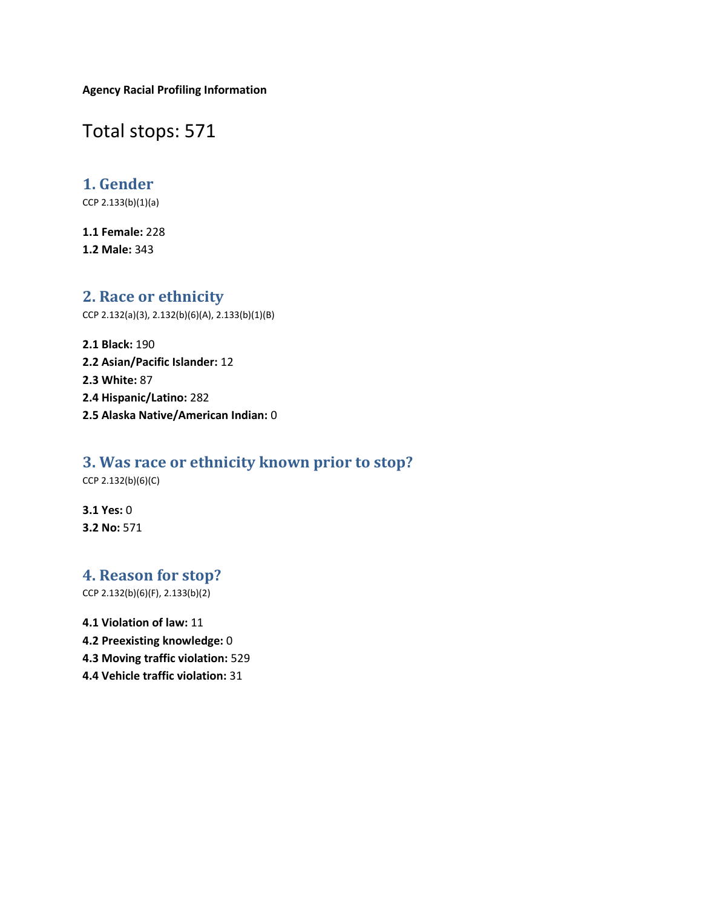**Agency Racial Profiling Information**

Total stops: 571

### **1. Gender**

CCP 2.133(b)(1)(a)

**1.1 Female:** 228 **1.2 Male:** 343

#### **2. Race or ethnicity**

CCP 2.132(a)(3), 2.132(b)(6)(A), 2.133(b)(1)(B)

**2.1 Black:** 190 **2.2 Asian/Pacific Islander:** 12 **2.3 White:** 87 **2.4 Hispanic/Latino:** 282 **2.5 Alaska Native/American Indian:** 0

### **3. Was race or ethnicity known prior to stop?**

CCP 2.132(b)(6)(C)

**3.1 Yes:** 0 **3.2 No:** 571

## **4. Reason for stop?**

CCP 2.132(b)(6)(F), 2.133(b)(2)

**4.1 Violation of law:** 11 **4.2 Preexisting knowledge:** 0 **4.3 Moving traffic violation:** 529 **4.4 Vehicle traffic violation:** 31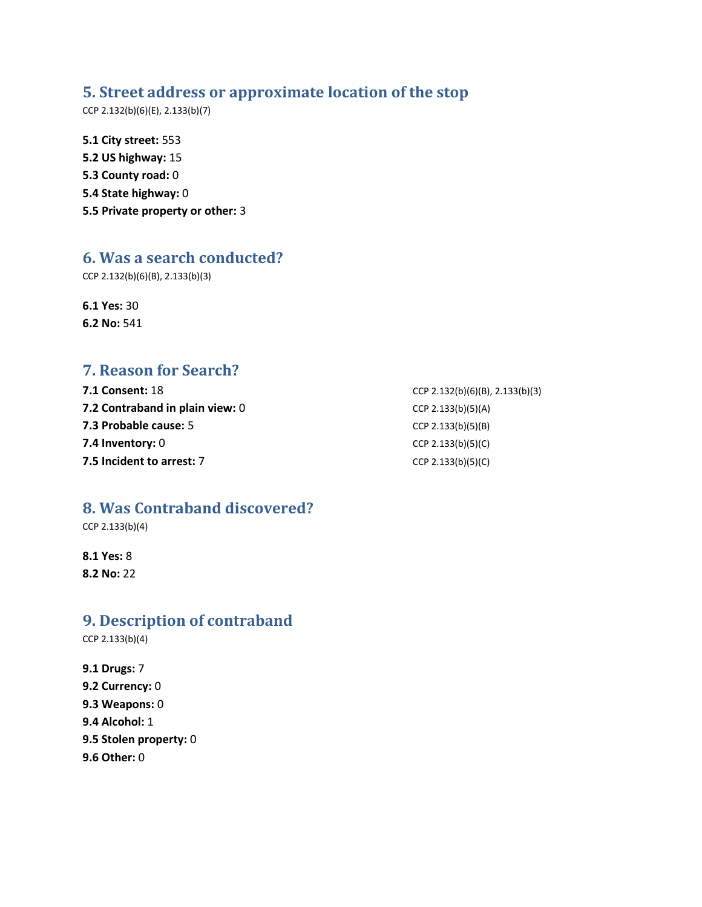#### **5. Street address or approximate location of the stop**

CCP 2.132(b)(6)(E), 2.133(b)(7)

**5.1 City street:** 553 **5.2 US highway:** 15 **5.3 County road:** 0 **5.4 State highway:** 0 **5.5 Private property or other:** 3

#### **6. Was a search conducted?**

CCP 2.132(b)(6)(B), 2.133(b)(3)

**6.1 Yes:** 30 **6.2 No:** 541

## **7. Reason for Search?**

| <b>7.1 Consent: 1</b> 8         | CCP 2.132(b)(6)(B), 2.133(b)(3) |
|---------------------------------|---------------------------------|
| 7.2 Contraband in plain view: 0 | CCP 2.133(b)(5)(A)              |
| 7.3 Probable cause: 5           | CCP 2.133(b)(5)(B)              |
| 7.4 Inventory: 0                | CCP 2.133(b)(5)(C)              |
| 7.5 Incident to arrest: 7       | CCP 2.133(b)(5)(C)              |

## **8. Was Contraband discovered?**

CCP 2.133(b)(4)

**8.1 Yes:** 8 **8.2 No:** 22

#### **9. Description of contraband**

CCP 2.133(b)(4)

**9.1 Drugs:** 7 **9.2 Currency:** 0 **9.3 Weapons:** 0 **9.4 Alcohol:** 1 **9.5 Stolen property:** 0 **9.6 Other:** 0